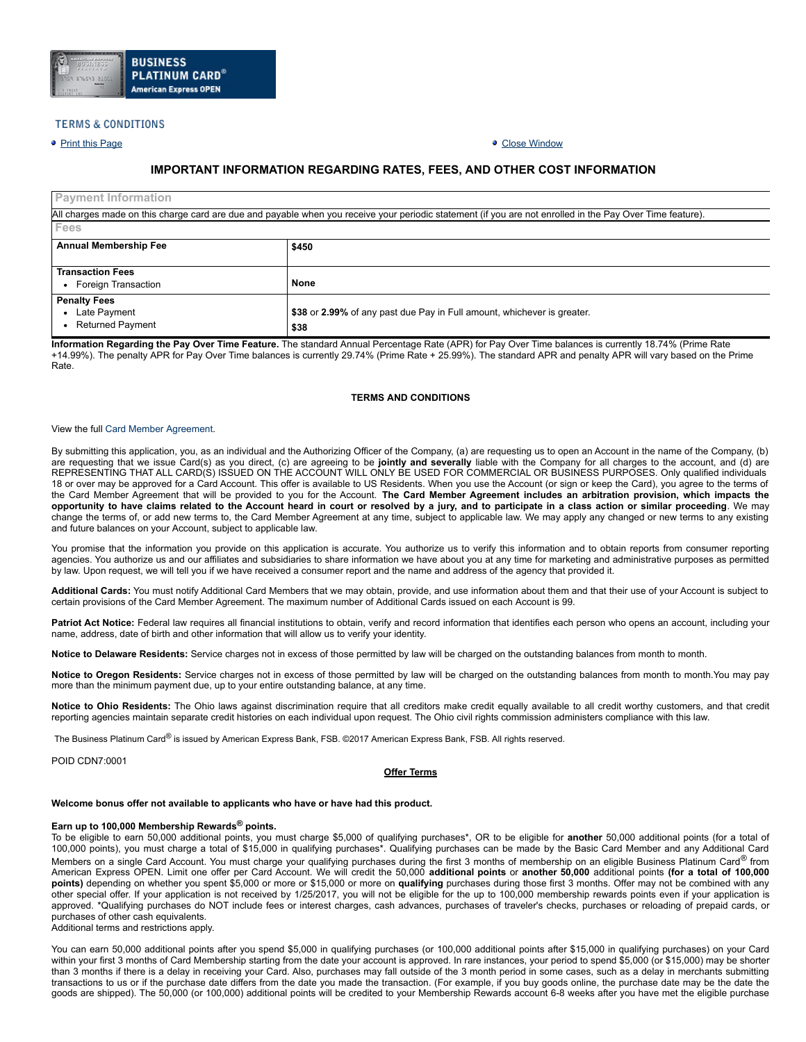

# **TERMS & CONDITIONS**

# • Print this [Page](javascript:window.print()) Close [Window](javascript:window.close())

# **IMPORTANT INFORMATION REGARDING RATES, FEES, AND OTHER COST INFORMATION**

| <b>Payment Information</b>   |                                                                                                                                                           |  |  |  |  |  |  |
|------------------------------|-----------------------------------------------------------------------------------------------------------------------------------------------------------|--|--|--|--|--|--|
|                              | All charges made on this charge card are due and payable when you receive your periodic statement (if you are not enrolled in the Pay Over Time feature). |  |  |  |  |  |  |
| Fees                         |                                                                                                                                                           |  |  |  |  |  |  |
| <b>Annual Membership Fee</b> | \$450                                                                                                                                                     |  |  |  |  |  |  |
|                              |                                                                                                                                                           |  |  |  |  |  |  |
| <b>Transaction Fees</b>      |                                                                                                                                                           |  |  |  |  |  |  |
| • Foreign Transaction        | None                                                                                                                                                      |  |  |  |  |  |  |
| <b>Penalty Fees</b>          |                                                                                                                                                           |  |  |  |  |  |  |
| • Late Payment               | \$38 or 2.99% of any past due Pay in Full amount, whichever is greater.                                                                                   |  |  |  |  |  |  |
| <b>Returned Payment</b>      | \$38                                                                                                                                                      |  |  |  |  |  |  |

**Information Regarding the Pay Over Time Feature.** The standard Annual Percentage Rate (APR) for Pay Over Time balances is currently 18.74% (Prime Rate +14.99%). The penalty APR for Pay Over Time balances is currently 29.74% (Prime Rate + 25.99%). The standard APR and penalty APR will vary based on the Prime Rate.

# **TERMS AND CONDITIONS**

#### View the full Card Member [Agreement.](https://www.americanexpress.com/us/content/cardmember-agreements/all-us.html)

By submitting this application, you, as an individual and the Authorizing Officer of the Company, (a) are requesting us to open an Account in the name of the Company, (b) are requesting that we issue Card(s) as you direct, (c) are agreeing to be **jointly and severally** liable with the Company for all charges to the account, and (d) are REPRESENTING THAT ALL CARD(S) ISSUED ON THE ACCOUNT WILL ONLY BE USED FOR COMMERCIAL OR BUSINESS PURPOSES. Only qualified individuals 18 or over may be approved for a Card Account. This offer is available to US Residents. When you use the Account (or sign or keep the Card), you agree to the terms of the Card Member Agreement that will be provided to you for the Account. The Card Member Agreement includes an arbitration provision, which impacts the opportunity to have claims related to the Account heard in court or resolved by a jury, and to participate in a class action or similar proceeding. We may change the terms of, or add new terms to, the Card Member Agreement at any time, subject to applicable law. We may apply any changed or new terms to any existing and future balances on your Account, subject to applicable law.

You promise that the information you provide on this application is accurate. You authorize us to verify this information and to obtain reports from consumer reporting agencies. You authorize us and our affiliates and subsidiaries to share information we have about you at any time for marketing and administrative purposes as permitted by law. Upon request, we will tell you if we have received a consumer report and the name and address of the agency that provided it.

**Additional Cards:** You must notify Additional Card Members that we may obtain, provide, and use information about them and that their use of your Account is subject to certain provisions of the Card Member Agreement. The maximum number of Additional Cards issued on each Account is 99.

Patriot Act Notice: Federal law requires all financial institutions to obtain, verify and record information that identifies each person who opens an account, including your name, address, date of birth and other information that will allow us to verify your identity.

**Notice to Delaware Residents:** Service charges not in excess of those permitted by law will be charged on the outstanding balances from month to month.

**Notice to Oregon Residents:** Service charges not in excess of those permitted by law will be charged on the outstanding balances from month to month.You may pay more than the minimum payment due, up to your entire outstanding balance, at any time.

**Notice to Ohio Residents:** The Ohio laws against discrimination require that all creditors make credit equally available to all credit worthy customers, and that credit reporting agencies maintain separate credit histories on each individual upon request. The Ohio civil rights commission administers compliance with this law.

The Business Platinum Card® is issued by American Express Bank, FSB. ©2017 American Express Bank, FSB. All rights reserved.

POID CDN7:0001

#### **Offer Terms**

# **Welcome bonus offer not available to applicants who have or have had this product.**

# **Earn up to 100,000 Membership Rewards® points.**

To be eligible to earn 50,000 additional points, you must charge \$5,000 of qualifying purchases\*, OR to be eligible for **another** 50,000 additional points (for a total of 100,000 points), you must charge a total of \$15,000 in qualifying purchases\*. Qualifying purchases can be made by the Basic Card Member and any Additional Card Members on a single Card Account. You must charge your qualifying purchases during the first 3 months of membership on an eligible Business Platinum Card® from American Express OPEN. Limit one offer per Card Account. We will credit the 50,000 **additional points** or **another 50,000** additional points **(for a total of 100,000 points)** depending on whether you spent \$5,000 or more or \$15,000 or more on **qualifying** purchases during those first 3 months. Offer may not be combined with any other special offer. If your application is not received by 1/25/2017, you will not be eligible for the up to 100,000 membership rewards points even if your application is approved. \*Qualifying purchases do NOT include fees or interest charges, cash advances, purchases of traveler's checks, purchases or reloading of prepaid cards, or purchases of other cash equivalents. Additional terms and restrictions apply.

You can earn 50,000 additional points after you spend \$5,000 in qualifying purchases (or 100,000 additional points after \$15,000 in qualifying purchases) on your Card within your first 3 months of Card Membership starting from the date your account is approved. In rare instances, your period to spend \$5,000 (or \$15,000) may be shorter than 3 months if there is a delay in receiving your Card. Also, purchases may fall outside of the 3 month period in some cases, such as a delay in merchants submitting transactions to us or if the purchase date differs from the date you made the transaction. (For example, if you buy goods online, the purchase date may be the date the goods are shipped). The 50,000 (or 100,000) additional points will be credited to your Membership Rewards account 6-8 weeks after you have met the eligible purchase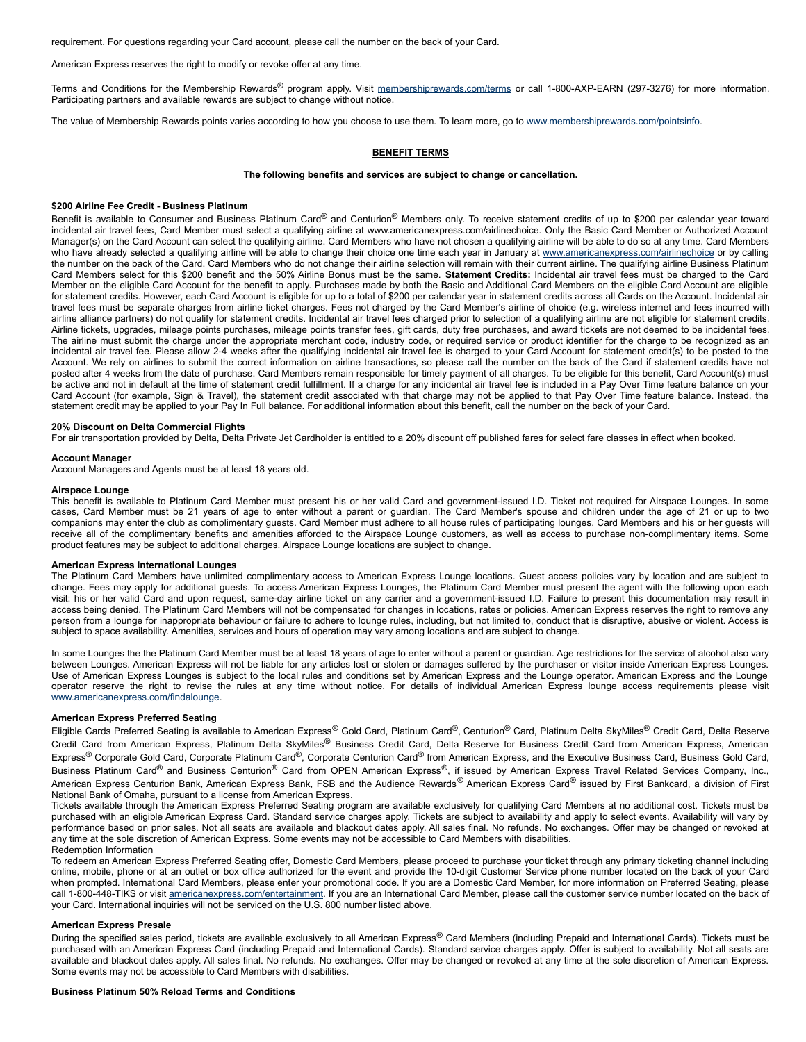requirement. For questions regarding your Card account, please call the number on the back of your Card.

American Express reserves the right to modify or revoke offer at any time.

Terms and Conditions for the Membership Rewards® program apply. Visit [membershiprewards.com/terms](http://www.membershiprewards.com/terms) or call 1-800-AXP-EARN (297-3276) for more information. Participating partners and available rewards are subject to change without notice.

The value of Membership Rewards points varies according to how you choose to use them. To learn more, go to [www.membershiprewards.com/pointsinfo.](http://www.membershiprewards.com/pointsinfo)

# **BENEFIT TERMS**

#### **The following benefits and services are subject to change or cancellation.**

# **\$200 Airline Fee Credit Business Platinum**

Benefit is available to Consumer and Business Platinum Card® and Centurion® Members only. To receive statement credits of up to \$200 per calendar year toward incidental air travel fees, Card Member must select a qualifying airline at www.americanexpress.com/airlinechoice. Only the Basic Card Member or Authorized Account Manager(s) on the Card Account can select the qualifying airline. Card Members who have not chosen a qualifying airline will be able to do so at any time. Card Members who have already selected a qualifying airline will be able to change their choice one time each year in January at [www.americanexpress.com/airlinechoice](http://www.americanexpress.com/airlinechoice) or by calling the number on the back of the Card. Card Members who do not change their airline selection will remain with their current airline. The qualifying airline Business Platinum Card Members select for this \$200 benefit and the 50% Airline Bonus must be the same. **Statement Credits:** Incidental air travel fees must be charged to the Card Member on the eligible Card Account for the benefit to apply. Purchases made by both the Basic and Additional Card Members on the eligible Card Account are eligible for statement credits. However, each Card Account is eligible for up to a total of \$200 per calendar year in statement credits across all Cards on the Account. Incidental air travel fees must be separate charges from airline ticket charges. Fees not charged by the Card Member's airline of choice (e.g. wireless internet and fees incurred with airline alliance partners) do not qualify for statement credits. Incidental air travel fees charged prior to selection of a qualifying airline are not eligible for statement credits. Airline tickets, upgrades, mileage points purchases, mileage points transfer fees, gift cards, duty free purchases, and award tickets are not deemed to be incidental fees. The airline must submit the charge under the appropriate merchant code, industry code, or required service or product identifier for the charge to be recognized as an incidental air travel fee. Please allow 24 weeks after the qualifying incidental air travel fee is charged to your Card Account for statement credit(s) to be posted to the Account. We rely on airlines to submit the correct information on airline transactions, so please call the number on the back of the Card if statement credits have not posted after 4 weeks from the date of purchase. Card Members remain responsible for timely payment of all charges. To be eligible for this benefit, Card Account(s) must be active and not in default at the time of statement credit fulfillment. If a charge for any incidental air travel fee is included in a Pay Over Time feature balance on your Card Account (for example, Sign & Travel), the statement credit associated with that charge may not be applied to that Pay Over Time feature balance. Instead, the statement credit may be applied to your Pay In Full balance. For additional information about this benefit, call the number on the back of your Card.

#### **20% Discount on Delta Commercial Flights**

For air transportation provided by Delta, Delta Private Jet Cardholder is entitled to a 20% discount off published fares for select fare classes in effect when booked.

#### **Account Manager**

Account Managers and Agents must be at least 18 years old.

### **Airspace Lounge**

This benefit is available to Platinum Card Member must present his or her valid Card and government-issued I.D. Ticket not required for Airspace Lounges. In some cases, Card Member must be 21 years of age to enter without a parent or guardian. The Card Member's spouse and children under the age of 21 or up to two companions may enter the club as complimentary guests. Card Member must adhere to all house rules of participating lounges. Card Members and his or her guests will receive all of the complimentary benefits and amenities afforded to the Airspace Lounge customers, as well as access to purchase non-complimentary items. Some product features may be subject to additional charges. Airspace Lounge locations are subject to change.

## **American Express International Lounges**

The Platinum Card Members have unlimited complimentary access to American Express Lounge locations. Guest access policies vary by location and are subject to change. Fees may apply for additional guests. To access American Express Lounges, the Platinum Card Member must present the agent with the following upon each visit: his or her valid Card and upon request, same-day airline ticket on any carrier and a government-issued I.D. Failure to present this documentation may result in access being denied. The Platinum Card Members will not be compensated for changes in locations, rates or policies. American Express reserves the right to remove any person from a lounge for inappropriate behaviour or failure to adhere to lounge rules, including, but not limited to, conduct that is disruptive, abusive or violent. Access is subject to space availability. Amenities, services and hours of operation may vary among locations and are subject to change.

In some Lounges the the Platinum Card Member must be at least 18 years of age to enter without a parent or guardian. Age restrictions for the service of alcohol also vary between Lounges. American Express will not be liable for any articles lost or stolen or damages suffered by the purchaser or visitor inside American Express Lounges. Use of American Express Lounges is subject to the local rules and conditions set by American Express and the Lounge operator. American Express and the Lounge operator reserve the right to revise the rules at any time without notice. For details of individual American Express lounge access requirements please visit [www.americanexpress.com/findalounge.](http://www.americanexpress.com/findalounge)

#### **American Express Preferred Seating**

Eligible Cards Preferred Seating is available to American Express<sup>®</sup> Gold Card, Platinum Card<sup>®</sup>, Centurion<sup>®</sup> Card, Platinum Delta SkyMiles<sup>®</sup> Credit Card, Delta Reserve Credit Card from American Express, Platinum Delta SkyMiles® Business Credit Card, Delta Reserve for Business Credit Card from American Express, American Express<sup>®</sup> Corporate Gold Card, Corporate Platinum Card<sup>®</sup>, Corporate Centurion Card<sup>®</sup> from American Express, and the Executive Business Card, Business Gold Card, Business Platinum Card<sup>®</sup> and Business Centurion<sup>®</sup> Card from OPEN American Express®, if issued by American Express Travel Related Services Company, Inc., American Express Centurion Bank, American Express Bank, FSB and the Audience Rewards<sup>®</sup> American Express Card<sup>®</sup> issued by First Bankcard, a division of First National Bank of Omaha, pursuant to a license from American Express.

Tickets available through the American Express Preferred Seating program are available exclusively for qualifying Card Members at no additional cost. Tickets must be purchased with an eligible American Express Card. Standard service charges apply. Tickets are subject to availability and apply to select events. Availability will vary by performance based on prior sales. Not all seats are available and blackout dates apply. All sales final. No refunds. No exchanges. Offer may be changed or revoked at any time at the sole discretion of American Express. Some events may not be accessible to Card Members with disabilities. Redemption Information

To redeem an American Express Preferred Seating offer, Domestic Card Members, please proceed to purchase your ticket through any primary ticketing channel including online, mobile, phone or at an outlet or box office authorized for the event and provide the 10-digit Customer Service phone number located on the back of your Card when prompted. International Card Members, please enter your promotional code. If you are a Domestic Card Member, for more information on Preferred Seating, please call 1-800-448-TIKS or visit [americanexpress.com/entertainment.](https://www.americanexpress.com/entertainment) If you are an International Card Member, please call the customer service number located on the back of your Card. International inquiries will not be serviced on the U.S. 800 number listed above.

# **American Express Presale**

During the specified sales period, tickets are available exclusively to all American Express® Card Members (including Prepaid and International Cards). Tickets must be purchased with an American Express Card (including Prepaid and International Cards). Standard service charges apply. Offer is subject to availability. Not all seats are available and blackout dates apply. All sales final. No refunds. No exchanges. Offer may be changed or revoked at any time at the sole discretion of American Express. Some events may not be accessible to Card Members with disabilities.

#### **Business Platinum 50% Reload Terms and Conditions**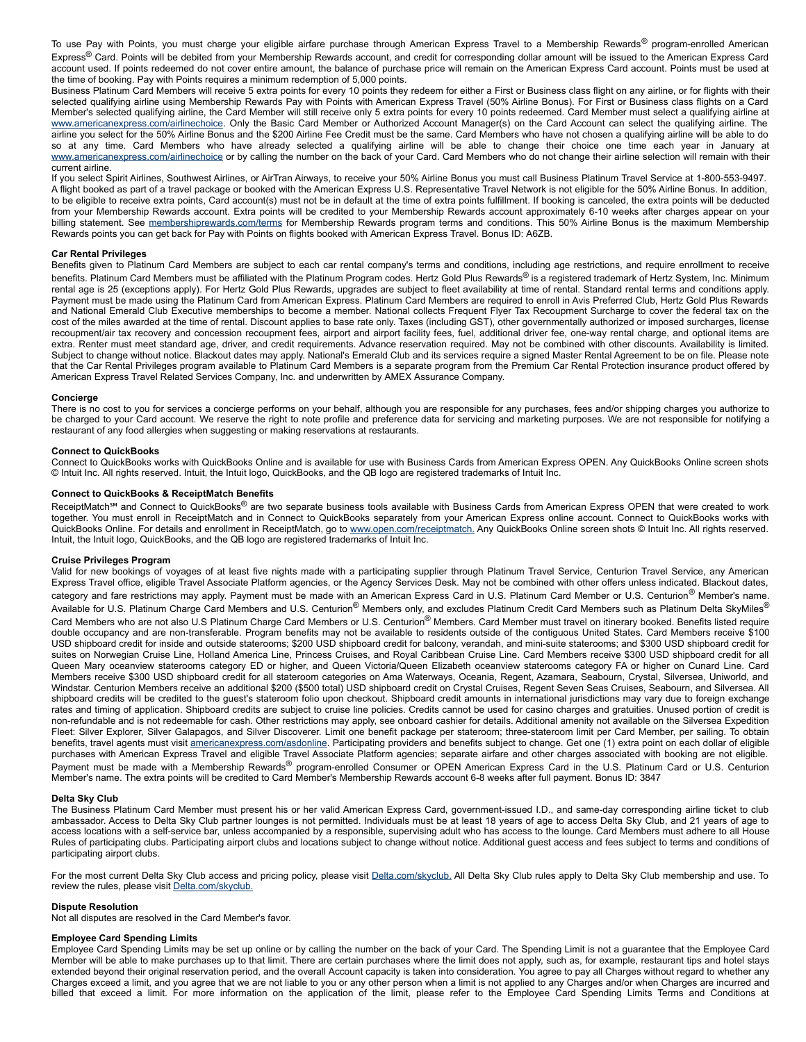To use Pay with Points, you must charge your eligible airfare purchase through American Express Travel to a Membership Rewards® program-enrolled American Express® Card. Points will be debited from your Membership Rewards account, and credit for corresponding dollar amount will be issued to the American Express Card account used. If points redeemed do not cover entire amount, the balance of purchase price will remain on the American Express Card account. Points must be used at the time of booking. Pay with Points requires a minimum redemption of 5,000 points.

Business Platinum Card Members will receive 5 extra points for every 10 points they redeem for either a First or Business class flight on any airline, or for flights with their selected qualifying airline using Membership Rewards Pay with Points with American Express Travel (50% Airline Bonus). For First or Business class flights on a Card Member's selected qualifying airline, the Card Member will still receive only 5 extra points for every 10 points redeemed. Card Member must select a qualifying airline at [www.americanexpress.com/airlinechoice](https://www.americanexpress.com/airlinechoice). Only the Basic Card Member or Authorized Account Manager(s) on the Card Account can select the qualifying airline. The airline you select for the 50% Airline Bonus and the \$200 Airline Fee Credit must be the same. Card Members who have not chosen a qualifying airline will be able to do so at any time. Card Members who have already selected a qualifying airline will be able to change their choice one time each year in January at [www.americanexpress.com/airlinechoice](https://www.americanexpress.com/airlinechoice) or by calling the number on the back of your Card. Card Members who do not change their airline selection will remain with their current airline.

If you select Spirit Airlines, Southwest Airlines, or AirTran Airways, to receive your 50% Airline Bonus you must call Business Platinum Travel Service at 18005539497. A flight booked as part of a travel package or booked with the American Express U.S. Representative Travel Network is not eligible for the 50% Airline Bonus. In addition, to be eligible to receive extra points, Card account(s) must not be in default at the time of extra points fulfillment. If booking is canceled, the extra points will be deducted from your Membership Rewards account. Extra points will be credited to your Membership Rewards account approximately 6-10 weeks after charges appear on your billing statement. See [membershiprewards.com/terms](https://www.membershiprewards.com/terms) for Membership Rewards program terms and conditions. This 50% Airline Bonus is the maximum Membership Rewards points you can get back for Pay with Points on flights booked with American Express Travel. Bonus ID: A6ZB.

# **Car Rental Privileges**

Benefits given to Platinum Card Members are subject to each car rental company's terms and conditions, including age restrictions, and require enrollment to receive benefits. Platinum Card Members must be affiliated with the Platinum Program codes. Hertz Gold Plus Rewards<sup>®</sup> is a registered trademark of Hertz System, Inc. Minimum rental age is 25 (exceptions apply). For Hertz Gold Plus Rewards, upgrades are subject to fleet availability at time of rental. Standard rental terms and conditions apply. Payment must be made using the Platinum Card from American Express. Platinum Card Members are required to enroll in Avis Preferred Club, Hertz Gold Plus Rewards and National Emerald Club Executive memberships to become a member. National collects Frequent Flyer Tax Recoupment Surcharge to cover the federal tax on the cost of the miles awarded at the time of rental. Discount applies to base rate only. Taxes (including GST), other governmentally authorized or imposed surcharges, license recoupment/air tax recovery and concession recoupment fees, airport and airport facility fees, fuel, additional driver fee, one-way rental charge, and optional items are extra. Renter must meet standard age, driver, and credit requirements. Advance reservation required. May not be combined with other discounts. Availability is limited. Subject to change without notice. Blackout dates may apply. National's Emerald Club and its services require a signed Master Rental Agreement to be on file. Please note that the Car Rental Privileges program available to Platinum Card Members is a separate program from the Premium Car Rental Protection insurance product offered by American Express Travel Related Services Company, Inc. and underwritten by AMEX Assurance Company.

#### **Concierge**

There is no cost to you for services a concierge performs on your behalf, although you are responsible for any purchases, fees and/or shipping charges you authorize to be charged to your Card account. We reserve the right to note profile and preference data for servicing and marketing purposes. We are not responsible for notifying a restaurant of any food allergies when suggesting or making reservations at restaurants.

#### **Connect to QuickBooks**

Connect to QuickBooks works with QuickBooks Online and is available for use with Business Cards from American Express OPEN. Any QuickBooks Online screen shots © Intuit Inc. All rights reserved. Intuit, the Intuit logo, QuickBooks, and the QB logo are registered trademarks of Intuit Inc.

# **Connect to QuickBooks & ReceiptMatch Benefits**

ReceiptMatch<sup>5M</sup> and Connect to QuickBooks® are two separate business tools available with Business Cards from American Express OPEN that were created to work together. You must enroll in ReceiptMatch and in Connect to QuickBooks separately from your American Express online account. Connect to QuickBooks works with QuickBooks Online. For details and enrollment in ReceiptMatch, go to [www.open.com/receiptmatch.](https://www.open.com/receiptmatch) Any QuickBooks Online screen shots © Intuit Inc. All rights reserved. Intuit, the Intuit logo, QuickBooks, and the QB logo are registered trademarks of Intuit Inc.

# **Cruise Privileges Program**

Valid for new bookings of voyages of at least five nights made with a participating supplier through Platinum Travel Service, Centurion Travel Service, any American Express Travel office, eligible Travel Associate Platform agencies, or the Agency Services Desk. May not be combined with other offers unless indicated. Blackout dates, category and fare restrictions may apply. Payment must be made with an American Express Card in U.S. Platinum Card Member or U.S. Centurion® Member's name. Available for U.S. Platinum Charge Card Members and U.S. Centurion® Members only, and excludes Platinum Credit Card Members such as Platinum Delta SkyMiles® Card Members who are not also U.S Platinum Charge Card Members or U.S. Centurion® Members. Card Member must travel on itinerary booked. Benefits listed require double occupancy and are non-transferable. Program benefits may not be available to residents outside of the contiguous United States. Card Members receive \$100 USD shipboard credit for inside and outside staterooms; \$200 USD shipboard credit for balcony, verandah, and minisuite staterooms; and \$300 USD shipboard credit for suites on Norwegian Cruise Line, Holland America Line, Princess Cruises, and Royal Caribbean Cruise Line. Card Members receive \$300 USD shipboard credit for all Queen Mary oceanview staterooms category ED or higher, and Queen Victoria/Queen Elizabeth oceanview staterooms category FA or higher on Cunard Line. Card Members receive \$300 USD shipboard credit for all stateroom categories on Ama Waterways, Oceania, Regent, Azamara, Seabourn, Crystal, Silversea, Uniworld, and Windstar. Centurion Members receive an additional \$200 (\$500 total) USD shipboard credit on Crystal Cruises, Regent Seven Seas Cruises, Seabourn, and Silversea. All shipboard credits will be credited to the guest's stateroom folio upon checkout. Shipboard credit amounts in international jurisdictions may vary due to foreign exchange rates and timing of application. Shipboard credits are subject to cruise line policies. Credits cannot be used for casino charges and gratuities. Unused portion of credit is non-refundable and is not redeemable for cash. Other restrictions may apply, see onboard cashier for details. Additional amenity not available on the Silversea Expedition Fleet: Silver Explorer, Silver Galapagos, and Silver Discoverer. Limit one benefit package per stateroom; three-stateroom limit per Card Member, per sailing. To obtain benefits, travel agents must visit [americanexpress.com/asdonline.](https://www.americanexpress.com/asdonline) Participating providers and benefits subject to change. Get one (1) extra point on each dollar of eligible purchases with American Express Travel and eligible Travel Associate Platform agencies; separate airfare and other charges associated with booking are not eligible. Payment must be made with a Membership Rewards® program-enrolled Consumer or OPEN American Express Card in the U.S. Platinum Card or U.S. Centurion Member's name. The extra points will be credited to Card Member's Membership Rewards account 6-8 weeks after full payment. Bonus ID: 3847

#### **Delta Sky Club**

The Business Platinum Card Member must present his or her valid American Express Card, government-issued I.D., and same-day corresponding airline ticket to club ambassador. Access to Delta Sky Club partner lounges is not permitted. Individuals must be at least 18 years of age to access Delta Sky Club, and 21 years of age to access locations with a self-service bar, unless accompanied by a responsible, supervising adult who has access to the lounge. Card Members must adhere to all House Rules of participating clubs. Participating airport clubs and locations subject to change without notice. Additional guest access and fees subject to terms and conditions of participating airport clubs.

For the most current Delta Sky Club access and pricing policy, please visit **[Delta.com/skyclub.](http://www.delta.com/skyclub) All Delta Sky Club rules** apply to Delta Sky Club membership and use. To review the rules, please visit [Delta.com/skyclub.](http://www.delta.com/skyclub)

#### **Dispute Resolution**

Not all disputes are resolved in the Card Member's favor.

#### **Employee Card Spending Limits**

Employee Card Spending Limits may be set up online or by calling the number on the back of your Card. The Spending Limit is not a guarantee that the Employee Card Member will be able to make purchases up to that limit. There are certain purchases where the limit does not apply, such as, for example, restaurant tips and hotel stays extended beyond their original reservation period, and the overall Account capacity is taken into consideration. You agree to pay all Charges without regard to whether any Charges exceed a limit, and you agree that we are not liable to you or any other person when a limit is not applied to any Charges and/or when Charges are incurred and billed that exceed a limit. For more information on the application of the limit, please refer to the Employee Card Spending Limits Terms and Conditions at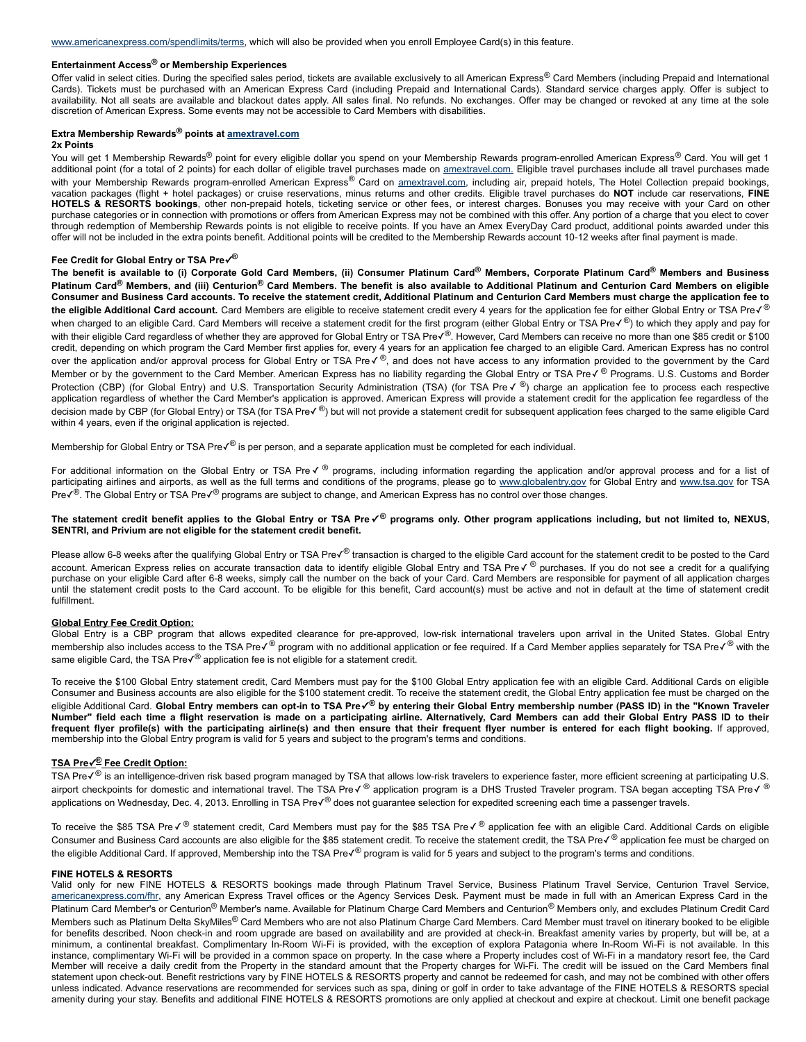# **Entertainment Access® or Membership Experiences**

Offer valid in select cities. During the specified sales period, tickets are available exclusively to all American Express® Card Members (including Prepaid and International Cards). Tickets must be purchased with an American Express Card (including Prepaid and International Cards). Standard service charges apply. Offer is subject to availability. Not all seats are available and blackout dates apply. All sales final. No refunds. No exchanges. Offer may be changed or revoked at any time at the sole discretion of American Express. Some events may not be accessible to Card Members with disabilities.

#### **Extra Membership Rewards® points at [amextravel.com](http://amextravel.com/) 2x Points**

You will get 1 Membership Rewards® point for every eligible dollar you spend on your Membership Rewards program-enrolled American Express® Card. You will get 1 additional point (for a total of 2 points) for each dollar of eligible travel purchases made on [amextravel.com.](http://amextravel.com/) Eligible travel purchases include all travel purchases made with your Membership Rewards program-enrolled American Express® Card on [amextravel.com,](http://amextravel.com/) including air, prepaid hotels, The Hotel Collection prepaid bookings, vacation packages (flight + hotel packages) or cruise reservations, minus returns and other credits. Eligible travel purchases do **NOT** include car reservations, **FINE** HOTELS & RESORTS bookings, other non-prepaid hotels, ticketing service or other fees, or interest charges. Bonuses you may receive with your Card on other purchase categories or in connection with promotions or offers from American Express may not be combined with this offer. Any portion of a charge that you elect to cover through redemption of Membership Rewards points is not eligible to receive points. If you have an Amex EveryDay Card product, additional points awarded under this offer will not be included in the extra points benefit. Additional points will be credited to the Membership Rewards account 1012 weeks after final payment is made.

# **Fee Credit for Global Entry or TSA Pre✓ ®**

The benefit is available to (i) Corporate Gold Card Members, (ii) Consumer Platinum Card® Members, Corporate Platinum Card® Members and Business Platinum Card<sup>®</sup> Members, and (iii) Centurion® Card Members. The benefit is also available to Additional Platinum and Centurion Card Members on eligible Consumer and Business Card accounts. To receive the statement credit, Additional Platinum and Centurion Card Members must charge the application fee to the eligible Additional Card account. Card Members are eligible to receive statement credit every 4 years for the application fee for either Global Entry or TSA Preè when charged to an eligible Card. Card Members will receive a statement credit for the first program (either Global Entry or TSA Preè) to which they apply and pay for with their eligible Card regardless of whether they are approved for Global Entry or TSA Preè. However, Card Members can receive no more than one \$85 credit or \$100 credit, depending on which program the Card Member first applies for, every 4 years for an application fee charged to an eligible Card. American Express has no control over the application and/or approval process for Global Entry or TSA Preè, and does not have access to any information provided to the government by the Card Member or by the government to the Card Member. American Express has no liability regarding the Global Entry or TSA Preè Programs. U.S. Customs and Border Protection (CBP) (for Global Entry) and U.S. Transportation Security Administration (TSA) (for TSA Preè) charge an application fee to process each respective application regardless of whether the Card Member's application is approved. American Express will provide a statement credit for the application fee regardless of the decision made by CBP (for Global Entry) or TSA (for TSA Preè) but will not provide a statement credit for subsequent application fees charged to the same eligible Card within 4 years, even if the original application is rejected.

Membership for Global Entry or TSA Preè is per person, and a separate application must be completed for each individual.

For additional information on the Global Entry or TSA Preè programs, including information regarding the application and/or approval process and for a list of participating airlines and airports, as well as the full terms and conditions of the programs, please go to [www.globalentry.gov](http://www.globalentry.gov/) for Global Entry and [www.tsa.gov](http://www.tsa.gov/) for TSA Pre√<sup>®</sup>. The Global Entry or TSA Pre√<sup>®</sup> programs are subject to change, and American Express has no control over those changes.

# The statement credit benefit applies to the Global Entry or TSA Pre $\checkmark^\circ$  programs only. Other program applications including, but not limited to, NEXUS, **SENTRI, and Privium are not eligible for the statement credit benefit.**

Please allow 6-8 weeks after the qualifying Global Entry or TSA Preè transaction is charged to the eligible Card account for the statement credit to be posted to the Card account. American Express relies on accurate transaction data to identify eligible Global Entry and TSA Preè purchases. If you do not see a credit for a qualifying purchase on your eligible Card after 68 weeks, simply call the number on the back of your Card. Card Members are responsible for payment of all application charges until the statement credit posts to the Card account. To be eligible for this benefit, Card account(s) must be active and not in default at the time of statement credit fulfillment.

# **Global Entry Fee Credit Option:**

Global Entry is a CBP program that allows expedited clearance for pre-approved, low-risk international travelers upon arrival in the United States. Global Entry membership also includes access to the TSA Preè program with no additional application or fee required. If a Card Member applies separately for TSA Pre√® with the same eligible Card, the TSA Preè application fee is not eligible for a statement credit.

To receive the \$100 Global Entry statement credit, Card Members must pay for the \$100 Global Entry application fee with an eligible Card. Additional Cards on eligible Consumer and Business accounts are also eligible for the \$100 statement credit. To receive the statement credit, the Global Entry application fee must be charged on the eligible Additional Card. Global Entry members can opt-in to TSA Preè by entering their Global Entry membership number (PASS ID) in the "Known Traveler Number" field each time a flight reservation is made on a participating airline. Alternatively, Card Members can add their Global Entry PASS ID to their frequent flyer profile(s) with the participating airline(s) and then ensure that their frequent flyer number is entered for each flight booking. If approved, membership into the Global Entry program is valid for 5 years and subject to the program's terms and conditions.

# **TSA Pre✓ ® Fee Credit Option:**

TSA Preè is an intelligence-driven risk based program managed by TSA that allows low-risk travelers to experience faster, more efficient screening at participating U.S. airport checkpoints for domestic and international travel. The TSA Preè application program is a DHS Trusted Traveler program. TSA began accepting TSA Pre√® applications on Wednesday, Dec. 4, 2013. Enrolling in TSA Preè does not guarantee selection for expedited screening each time a passenger travels.

To receive the \$85 TSA Preè statement credit, Card Members must pay for the \$85 TSA Pre√® application fee with an eligible Card. Additional Cards on eligible Consumer and Business Card accounts are also eligible for the \$85 statement credit. To receive the statement credit, the TSA Preè application fee must be charged on the eligible Additional Card. If approved, Membership into the TSA Preè program is valid for 5 years and subject to the program's terms and conditions.

# **FINE HOTELS & RESORTS**

Valid only for new FINE HOTELS & RESORTS bookings made through Platinum Travel Service, Business Platinum Travel Service, Centurion Travel Service, [americanexpress.com/fhr](http://www.americanexpress.com/fhr), any American Express Travel offices or the Agency Services Desk. Payment must be made in full with an American Express Card in the Platinum Card Member's or Centurion<sup>®</sup> Member's name. Available for Platinum Charge Card Members and Centurion<sup>®</sup> Members only, and excludes Platinum Credit Card Members such as Platinum Delta SkyMiles® Card Members who are not also Platinum Charge Card Members. Card Member must travel on itinerary booked to be eligible for benefits described. Noon check-in and room upgrade are based on availability and are provided at check-in. Breakfast amenity varies by property, but will be, at a minimum, a continental breakfast. Complimentary In-Room Wi-Fi is provided, with the exception of explora Patagonia where In-Room Wi-Fi is not available. In this instance, complimentary Wi-Fi will be provided in a common space on property. In the case where a Property includes cost of Wi-Fi in a mandatory resort fee, the Card Member will receive a daily credit from the Property in the standard amount that the Property charges for WiFi. The credit will be issued on the Card Members final statement upon check-out. Benefit restrictions vary by FINE HOTELS & RESORTS property and cannot be redeemed for cash, and may not be combined with other offers unless indicated. Advance reservations are recommended for services such as spa, dining or golf in order to take advantage of the FINE HOTELS & RESORTS special amenity during your stay. Benefits and additional FINE HOTELS & RESORTS promotions are only applied at checkout and expire at checkout. Limit one benefit package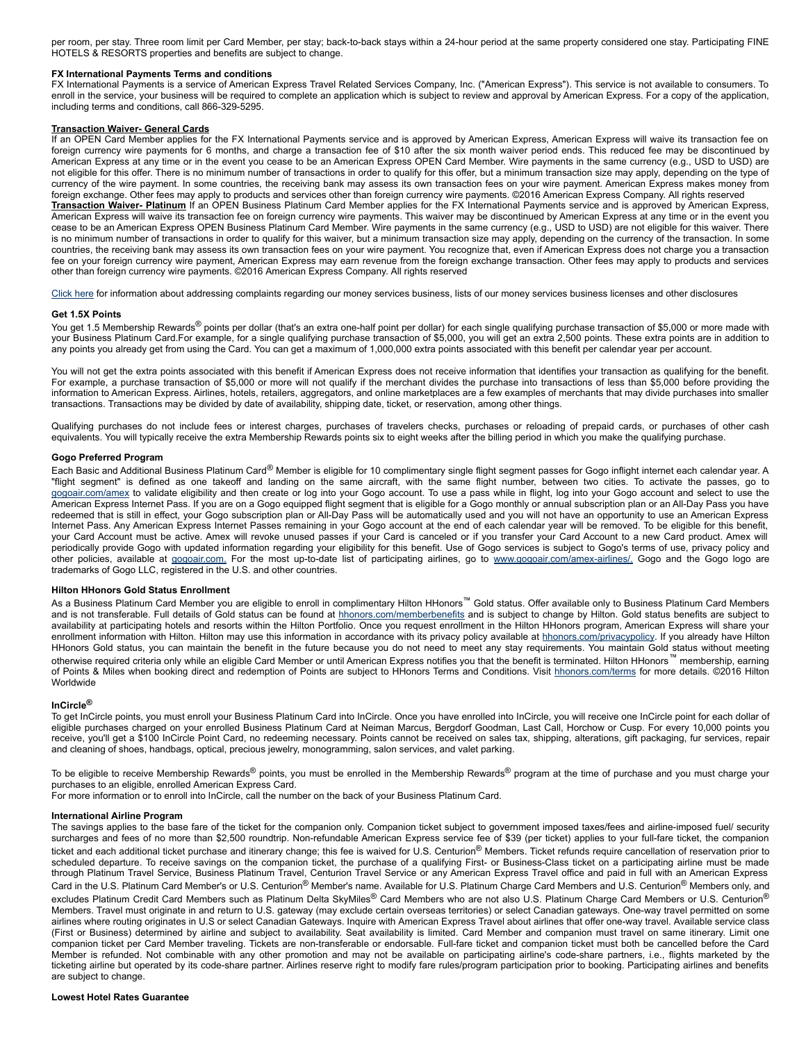per room, per stay. Three room limit per Card Member, per stay; back-to-back stays within a 24-hour period at the same property considered one stay. Participating FINE HOTELS & RESORTS properties and benefits are subject to change.

# **FX International Payments Terms and conditions**

FX International Payments is a service of American Express Travel Related Services Company, Inc. ("American Express"). This service is not available to consumers. To enroll in the service, your business will be required to complete an application which is subject to review and approval by American Express. For a copy of the application, including terms and conditions, call 866-329-5295.

# **Transaction Waiver General Cards**

If an OPEN Card Member applies for the FX International Payments service and is approved by American Express, American Express will waive its transaction fee on foreign currency wire payments for 6 months, and charge a transaction fee of \$10 after the six month waiver period ends. This reduced fee may be discontinued by American Express at any time or in the event you cease to be an American Express OPEN Card Member. Wire payments in the same currency (e.g., USD to USD) are not eligible for this offer. There is no minimum number of transactions in order to qualify for this offer, but a minimum transaction size may apply, depending on the type of currency of the wire payment. In some countries, the receiving bank may assess its own transaction fees on your wire payment. American Express makes money from foreign exchange. Other fees may apply to products and services other than foreign currency wire payments. ©2016 American Express Company. All rights reserved **Transaction Waiver Platinum** If an OPEN Business Platinum Card Member applies for the FX International Payments service and is approved by American Express, American Express will waive its transaction fee on foreign currency wire payments. This waiver may be discontinued by American Express at any time or in the event you cease to be an American Express OPEN Business Platinum Card Member. Wire payments in the same currency (e.g., USD to USD) are not eligible for this waiver. There is no minimum number of transactions in order to qualify for this waiver, but a minimum transaction size may apply, depending on the currency of the transaction. In some countries, the receiving bank may assess its own transaction fees on your wire payment. You recognize that, even if American Express does not charge you a transaction fee on your foreign currency wire payment, American Express may earn revenue from the foreign exchange transaction. Other fees may apply to products and services other than foreign currency wire payments. ©2016 American Express Company. All rights reserved

[Click](https://www.americanexpress.com/us/content/prepaid/state-licensing.html?vgnextchannel=95ddb81e8482a110VgnVCM100000defaad94RCRD&appinstancename=default) here for information about addressing complaints regarding our money services business, lists of our money services business licenses and other disclosures

#### **Get 1.5X Points**

You get 1.5 Membership Rewards® points per dollar (that's an extra one-half point per dollar) for each single qualifying purchase transaction of \$5,000 or more made with your Business Platinum Card.For example, for a single qualifying purchase transaction of \$5,000, you will get an extra 2,500 points. These extra points are in addition to any points you already get from using the Card. You can get a maximum of 1,000,000 extra points associated with this benefit per calendar year per account.

You will not get the extra points associated with this benefit if American Express does not receive information that identifies your transaction as qualifying for the benefit. For example, a purchase transaction of \$5,000 or more will not qualify if the merchant divides the purchase into transactions of less than \$5,000 before providing the information to American Express. Airlines, hotels, retailers, aggregators, and online marketplaces are a few examples of merchants that may divide purchases into smaller transactions. Transactions may be divided by date of availability, shipping date, ticket, or reservation, among other things.

Qualifying purchases do not include fees or interest charges, purchases of travelers checks, purchases or reloading of prepaid cards, or purchases of other cash equivalents. You will typically receive the extra Membership Rewards points six to eight weeks after the billing period in which you make the qualifying purchase.

### **Gogo Preferred Program**

Each Basic and Additional Business Platinum Card® Member is eligible for 10 complimentary single flight segment passes for Gogo inflight internet each calendar year. A "flight segment" is defined as one takeoff and landing on the same aircraft, with the same flight number, between two cities. To activate the passes, go to [gogoair.com/amex](http://gogoair.com/amex) to validate eligibility and then create or log into your Gogo account. To use a pass while in flight, log into your Gogo account and select to use the American Express Internet Pass. If you are on a Gogo equipped flight segment that is eligible for a Gogo monthly or annual subscription plan or an All-Day Pass you have redeemed that is still in effect, your Gogo subscription plan or All-Day Pass will be automatically used and you will not have an opportunity to use an American Express Internet Pass. Any American Express Internet Passes remaining in your Gogo account at the end of each calendar year will be removed. To be eligible for this benefit, your Card Account must be active. Amex will revoke unused passes if your Card is canceled or if you transfer your Card Account to a new Card product. Amex will periodically provide Gogo with updated information regarding your eligibility for this benefit. Use of Gogo services is subject to Gogo's terms of use, privacy policy and other policies, available at [gogoair.com.](http://gogoair.com./) For the most up-to-date list of participating airlines, go to www.gogoair.com/amex-airlines/. Gogo and the Gogo logo are trademarks of Gogo LLC, registered in the U.S. and other countries.

# **Hilton HHonors Gold Status Enrollment**

As a Business Platinum Card Member you are eligible to enroll in complimentary Hilton HHonors<sup>™</sup> Gold status. Offer available only to Business Platinum Card Members and is not transferable. Full details of Gold status can be found at [hhonors.com/memberbenefits](https://www.hhonors.com/memberbenefits) and is subject to change by Hilton. Gold status benefits are subject to availability at participating hotels and resorts within the Hilton Portfolio. Once you request enrollment in the Hilton HHonors program, American Express will share your enrollment information with Hilton. Hilton may use this information in accordance with its privacy policy available at [hhonors.com/privacypolicy.](https://www.hhonors.com/privacypolicy) If you already have Hilton HHonors Gold status, you can maintain the benefit in the future because you do not need to meet any stay requirements. You maintain Gold status without meeting otherwise required criteria only while an eligible Card Member or until American Express notifies you that the benefit is terminated. Hilton HHonors™ membership, earning of Points & Miles when booking direct and redemption of Points are subject to HHonors Terms and Conditions. Visit [hhonors.com/terms](https://www.hhonors.com/terms) for more details. ©2016 Hilton Worldwide

#### **InCircle®**

To get InCircle points, you must enroll your Business Platinum Card into InCircle. Once you have enrolled into InCircle, you will receive one InCircle point for each dollar of eligible purchases charged on your enrolled Business Platinum Card at Neiman Marcus, Bergdorf Goodman, Last Call, Horchow or Cusp. For every 10,000 points you receive, you'll get a \$100 InCircle Point Card, no redeeming necessary. Points cannot be received on sales tax, shipping, alterations, gift packaging, fur services, repair and cleaning of shoes, handbags, optical, precious jewelry, monogramming, salon services, and valet parking.

To be eligible to receive Membership Rewards<sup>®</sup> points, you must be enrolled in the Membership Rewards<sup>®</sup> program at the time of purchase and you must charge your purchases to an eligible, enrolled American Express Card.

For more information or to enroll into InCircle, call the number on the back of your Business Platinum Card.

#### **International Airline Program**

The savings applies to the base fare of the ticket for the companion only. Companion ticket subject to government imposed taxes/fees and airline-imposed fuel/ security surcharges and fees of no more than \$2,500 roundtrip. Non-refundable American Express service fee of \$39 (per ticket) applies to your full-fare ticket, the companion ticket and each additional ticket purchase and itinerary change; this fee is waived for U.S. Centurion® Members. Ticket refunds require cancellation of reservation prior to scheduled departure. To receive savings on the companion ticket, the purchase of a qualifying First- or Business-Class ticket on a participating airline must be made through Platinum Travel Service, Business Platinum Travel, Centurion Travel Service or any American Express Travel office and paid in full with an American Express Card in the U.S. Platinum Card Member's or U.S. Centurion<sup>®</sup> Member's name. Available for U.S. Platinum Charge Card Members and U.S. Centurion<sup>®</sup> Members only, and excludes Platinum Credit Card Members such as Platinum Delta SkyMiles® Card Members who are not also U.S. Platinum Charge Card Members or U.S. Centurion® Members. Travel must originate in and return to U.S. gateway (may exclude certain overseas territories) or select Canadian gateways. One-way travel permitted on some airlines where routing originates in U.S or select Canadian Gateways. Inquire with American Express Travel about airlines that offer oneway travel. Available service class (First or Business) determined by airline and subject to availability. Seat availability is limited. Card Member and companion must travel on same itinerary. Limit one companion ticket per Card Member traveling. Tickets are non-transferable or endorsable. Full-fare ticket and companion ticket must both be cancelled before the Card Member is refunded. Not combinable with any other promotion and may not be available on participating airline's codeshare partners, i.e., flights marketed by the ticketing airline but operated by its code-share partner. Airlines reserve right to modify fare rules/program participation prior to booking. Participating airlines and benefits are subject to change.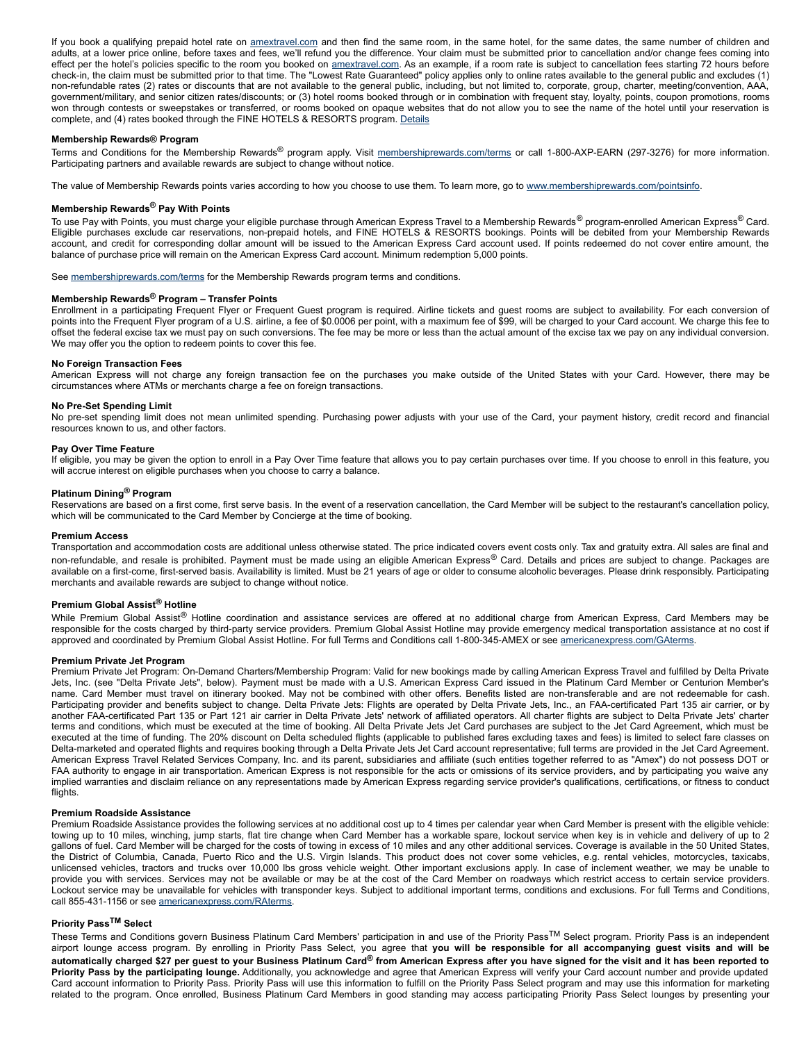If you book a qualifying prepaid hotel rate on [amextravel.com](http://www.amextravel.com/) and then find the same room, in the same hotel, for the same dates, the same number of children and adults, at a lower price online, before taxes and fees, we'll refund you the difference. Your claim must be submitted prior to cancellation and/or change fees coming into effect per the hotel's policies specific to the room you booked on [amextravel.com](http://www.amextravel.com/). As an example, if a room rate is subject to cancellation fees starting 72 hours before checkin, the claim must be submitted prior to that time. The "Lowest Rate Guaranteed" policy applies only to online rates available to the general public and excludes (1) non-refundable rates (2) rates or discounts that are not available to the general public, including, but not limited to, corporate, group, charter, meeting/convention, AAA, government/military, and senior citizen rates/discounts; or (3) hotel rooms booked through or in combination with frequent stay, loyalty, points, coupon promotions, rooms won through contests or sweepstakes or transferred, or rooms booked on opaque websites that do not allow you to see the name of the hotel until your reservation is complete, and (4) rates booked through the FINE HOTELS & RESORTS program. [Details](https://faq.amextravel.com/app/answers/detail/a_id/20215/kw/guarantee)

# **Membership Rewards® Program**

Terms and Conditions for the Membership Rewards<sup>®</sup> program apply. Visit [membershiprewards.com/terms](http://www.membershiprewards.com/terms) or call 1-800-AXP-EARN (297-3276) for more information. Participating partners and available rewards are subject to change without notice.

The value of Membership Rewards points varies according to how you choose to use them. To learn more, go to [www.membershiprewards.com/pointsinfo.](http://www.membershiprewards.com/pointsinfo)

# **Membership Rewards® Pay With Points**

To use Pay with Points, you must charge your eligible purchase through American Express Travel to a Membership Rewards<sup>®</sup> program-enrolled American Express<sup>®</sup> Card. Eligible purchases exclude car reservations, non-prepaid hotels, and FINE HOTELS & RESORTS bookings. Points will be debited from your Membership Rewards account, and credit for corresponding dollar amount will be issued to the American Express Card account used. If points redeemed do not cover entire amount, the balance of purchase price will remain on the American Express Card account. Minimum redemption 5,000 points.

See [membershiprewards.com/terms](https://www.membershiprewards.com/terms) for the Membership Rewards program terms and conditions.

# **Membership Rewards® Program – Transfer Points**

Enrollment in a participating Frequent Flyer or Frequent Guest program is required. Airline tickets and guest rooms are subject to availability. For each conversion of points into the Frequent Flyer program of a U.S. airline, a fee of \$0.0006 per point, with a maximum fee of \$99, will be charged to your Card account. We charge this fee to offset the federal excise tax we must pay on such conversions. The fee may be more or less than the actual amount of the excise tax we pay on any individual conversion. We may offer you the option to redeem points to cover this fee.

#### **No Foreign Transaction Fees**

American Express will not charge any foreign transaction fee on the purchases you make outside of the United States with your Card. However, there may be circumstances where ATMs or merchants charge a fee on foreign transactions.

## **No PreSet Spending Limit**

No pre-set spending limit does not mean unlimited spending. Purchasing power adjusts with your use of the Card, your payment history, credit record and financial resources known to us, and other factors.

# **Pay Over Time Feature**

If eligible, you may be given the option to enroll in a Pay Over Time feature that allows you to pay certain purchases over time. If you choose to enroll in this feature, you will accrue interest on eligible purchases when you choose to carry a balance.

# **Platinum Dining® Program**

Reservations are based on a first come, first serve basis. In the event of a reservation cancellation, the Card Member will be subject to the restaurant's cancellation policy, which will be communicated to the Card Member by Concierge at the time of booking.

#### **Premium Access**

Transportation and accommodation costs are additional unless otherwise stated. The price indicated covers event costs only. Tax and gratuity extra. All sales are final and non-refundable, and resale is prohibited. Payment must be made using an eligible American Express® Card. Details and prices are subject to change. Packages are available on a first-come, first-served basis. Availability is limited. Must be 21 years of age or older to consume alcoholic beverages. Please drink responsibly. Participating merchants and available rewards are subject to change without notice.

# **Premium Global Assist® Hotline**

While Premium Global Assist® Hotline coordination and assistance services are offered at no additional charge from American Express, Card Members may be responsible for the costs charged by third-party service providers. Premium Global Assist Hotline may provide emergency medical transportation assistance at no cost if approved and coordinated by Premium Global Assist Hotline. For full Terms and Conditions call 1-800-345-AMEX or see [americanexpress.com/GAterms](http://www.americanexpress.com/GAterms).

#### **Premium Private Jet Program**

Premium Private Jet Program: On-Demand Charters/Membership Program: Valid for new bookings made by calling American Express Travel and fulfilled by Delta Private Jets, Inc. (see "Delta Private Jets", below). Payment must be made with a U.S. American Express Card issued in the Platinum Card Member or Centurion Member's name. Card Member must travel on itinerary booked. May not be combined with other offers. Benefits listed are non-transferable and are not redeemable for cash. Participating provider and benefits subject to change. Delta Private Jets: Flights are operated by Delta Private Jets, Inc., an FAA-certificated Part 135 air carrier, or by another FAAcertificated Part 135 or Part 121 air carrier in Delta Private Jets' network of affiliated operators. All charter flights are subject to Delta Private Jets' charter terms and conditions, which must be executed at the time of booking. All Delta Private Jets Jet Card purchases are subject to the Jet Card Agreement, which must be executed at the time of funding. The 20% discount on Delta scheduled flights (applicable to published fares excluding taxes and fees) is limited to select fare classes on Delta-marketed and operated flights and requires booking through a Delta Private Jets Jet Card account representative; full terms are provided in the Jet Card Agreement. American Express Travel Related Services Company, Inc. and its parent, subsidiaries and affiliate (such entities together referred to as "Amex") do not possess DOT or FAA authority to engage in air transportation. American Express is not responsible for the acts or omissions of its service providers, and by participating you waive any implied warranties and disclaim reliance on any representations made by American Express regarding service provider's qualifications, certifications, or fitness to conduct flights.

## **Premium Roadside Assistance**

Premium Roadside Assistance provides the following services at no additional cost up to 4 times per calendar year when Card Member is present with the eligible vehicle: towing up to 10 miles, winching, jump starts, flat tire change when Card Member has a workable spare, lockout service when key is in vehicle and delivery of up to 2 gallons of fuel. Card Member will be charged for the costs of towing in excess of 10 miles and any other additional services. Coverage is available in the 50 United States, the District of Columbia, Canada, Puerto Rico and the U.S. Virgin Islands. This product does not cover some vehicles, e.g. rental vehicles, motorcycles, taxicabs, unlicensed vehicles, tractors and trucks over 10,000 lbs gross vehicle weight. Other important exclusions apply. In case of inclement weather, we may be unable to provide you with services. Services may not be available or may be at the cost of the Card Member on roadways which restrict access to certain service providers. Lockout service may be unavailable for vehicles with transponder keys. Subject to additional important terms, conditions and exclusions. For full Terms and Conditions, call 855-431-1156 or see [americanexpress.com/RAterms.](http://www.americanexpress.com/RAterms)

# **Priority Pass TM Select**

These Terms and Conditions govern Business Platinum Card Members' participation in and use of the Priority Pass<sup>TM</sup> Select program. Priority Pass is an independent airport lounge access program. By enrolling in Priority Pass Select, you agree that you will be responsible for all accompanying guest visits and will be automatically charged \$27 per guest to your Business Platinum Card® from American Express after you have signed for the visit and it has been reported to **Priority Pass by the participating lounge.** Additionally, you acknowledge and agree that American Express will verify your Card account number and provide updated Card account information to Priority Pass. Priority Pass will use this information to fulfill on the Priority Pass Select program and may use this information for marketing related to the program. Once enrolled, Business Platinum Card Members in good standing may access participating Priority Pass Select lounges by presenting your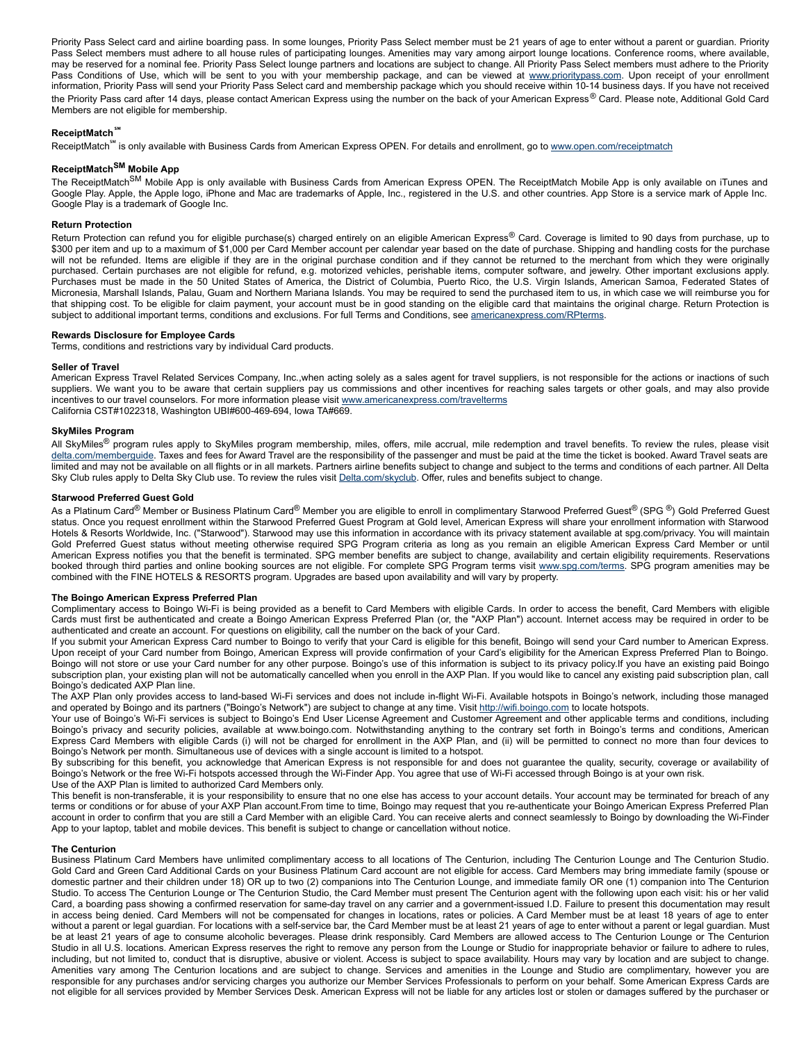Priority Pass Select card and airline boarding pass. In some lounges, Priority Pass Select member must be 21 years of age to enter without a parent or guardian. Priority Pass Select members must adhere to all house rules of participating lounges. Amenities may vary among airport lounge locations. Conference rooms, where available, may be reserved for a nominal fee. Priority Pass Select lounge partners and locations are subject to change. All Priority Pass Select members must adhere to the Priority Pass Conditions of Use, which will be sent to you with your membership package, and can be viewed at [www.prioritypass.com](https://www.prioritypass.com/). Upon receipt of your enrollment information, Priority Pass will send your Priority Pass Select card and membership package which you should receive within 10-14 business days. If you have not received the Priority Pass card after 14 days, please contact American Express using the number on the back of your American Express® Card. Please note, Additional Gold Card Members are not eligible for membership.

# **ReceiptMatch℠**

ReceiptMatch<sup>™</sup> is only available with Business Cards from American Express OPEN. For details and enrollment, go to [www.open.com/receiptmatch](http://www.open.com/receiptmatch)

# **ReceiptMatch SM Mobile App**

The ReceiptMatch<sup>SM</sup> Mobile App is only available with Business Cards from American Express OPEN. The ReceiptMatch Mobile App is only available on iTunes and Google Play. Apple, the Apple logo, iPhone and Mac are trademarks of Apple, Inc., registered in the U.S. and other countries. App Store is a service mark of Apple Inc. Google Play is a trademark of Google Inc.

# **Return Protection**

Return Protection can refund you for eligible purchase(s) charged entirely on an eligible American Express® Card. Coverage is limited to 90 days from purchase, up to \$300 per item and up to a maximum of \$1,000 per Card Member account per calendar year based on the date of purchase. Shipping and handling costs for the purchase will not be refunded. Items are eligible if they are in the original purchase condition and if they cannot be returned to the merchant from which they were originally purchased. Certain purchases are not eligible for refund, e.g. motorized vehicles, perishable items, computer software, and jewelry. Other important exclusions apply. Purchases must be made in the 50 United States of America, the District of Columbia, Puerto Rico, the U.S. Virgin Islands, American Samoa, Federated States of Micronesia, Marshall Islands, Palau, Guam and Northern Mariana Islands. You may be required to send the purchased item to us, in which case we will reimburse you for that shipping cost. To be eligible for claim payment, your account must be in good standing on the eligible card that maintains the original charge. Return Protection is subject to additional important terms, conditions and exclusions. For full Terms and Conditions, see [americanexpress.com/RPterms.](http://www.americanexpress.com/RPterms)

# **Rewards Disclosure for Employee Cards**

Terms, conditions and restrictions vary by individual Card products.

# **Seller of Travel**

American Express Travel Related Services Company, Inc.,when acting solely as a sales agent for travel suppliers, is not responsible for the actions or inactions of such suppliers. We want you to be aware that certain suppliers pay us commissions and other incentives for reaching sales targets or other goals, and may also provide incentives to our travel counselors. For more information please visit [www.americanexpress.com/travelterms](http://www.americanexpress.com/travelterms) California CST#1022318, Washington UBI#600-469-694, Iowa TA#669.

# **SkyMiles Program**

All SkyMiles<sup>®</sup> program rules apply to SkyMiles program membership, miles, offers, mile accrual, mile redemption and travel benefits. To review the rules, please visit [delta.com/memberguide.](http://delta.com/memberguide) Taxes and fees for Award Travel are the responsibility of the passenger and must be paid at the time the ticket is booked. Award Travel seats are limited and may not be available on all flights or in all markets. Partners airline benefits subject to change and subject to the terms and conditions of each partner. All Delta Sky Club rules apply to Delta Sky Club use. To review the rules visit [Delta.com/skyclub.](http://delta.com/skyclub) Offer, rules and benefits subject to change.

# **Starwood Preferred Guest Gold**

As a Platinum Card<sup>®</sup> Member or Business Platinum Card<sup>®</sup> Member you are eligible to enroll in complimentary Starwood Preferred Guest<sup>®</sup> (SPG <sup>®</sup>) Gold Preferred Guest status. Once you request enrollment within the Starwood Preferred Guest Program at Gold level, American Express will share your enrollment information with Starwood Hotels & Resorts Worldwide, Inc. ("Starwood"). Starwood may use this information in accordance with its privacy statement available at spg.com/privacy. You will maintain Gold Preferred Guest status without meeting otherwise required SPG Program criteria as long as you remain an eligible American Express Card Member or until American Express notifies you that the benefit is terminated. SPG member benefits are subject to change, availability and certain eligibility requirements. Reservations booked through third parties and online booking sources are not eligible. For complete SPG Program terms visit [www.spg.com/terms.](https://www.spg.com/terms) SPG program amenities may be combined with the FINE HOTELS & RESORTS program. Upgrades are based upon availability and will vary by property.

#### **The Boingo American Express Preferred Plan**

Complimentary access to Boingo WiFi is being provided as a benefit to Card Members with eligible Cards. In order to access the benefit, Card Members with eligible Cards must first be authenticated and create a Boingo American Express Preferred Plan (or, the "AXP Plan") account. Internet access may be required in order to be authenticated and create an account. For questions on eligibility, call the number on the back of your Card.

If you submit your American Express Card number to Boingo to verify that your Card is eligible for this benefit, Boingo will send your Card number to American Express. Upon receipt of your Card number from Boingo, American Express will provide confirmation of your Card's eligibility for the American Express Preferred Plan to Boingo. Boingo will not store or use your Card number for any other purpose. Boingo's use of this information is subject to its privacy policy.If you have an existing paid Boingo subscription plan, your existing plan will not be automatically cancelled when you enroll in the AXP Plan. If you would like to cancel any existing paid subscription plan, call Boingo's dedicated AXP Plan line.

The AXP Plan only provides access to land-based Wi-Fi services and does not include in-flight Wi-Fi. Available hotspots in Boingo's network, including those managed and operated by Boingo and its partners ("Boingo's Network") are subject to change at any time. Visit [http://wifi.boingo.com](http://wifi.boingo.com/) to locate hotspots.

Your use of Boingo's Wi-Fi services is subject to Boingo's End User License Agreement and Customer Agreement and other applicable terms and conditions, including Boingo's privacy and security policies, available at www.boingo.com. Notwithstanding anything to the contrary set forth in Boingo's terms and conditions, American Express Card Members with eligible Cards (i) will not be charged for enrollment in the AXP Plan, and (ii) will be permitted to connect no more than four devices to Boingo's Network per month. Simultaneous use of devices with a single account is limited to a hotspot.

By subscribing for this benefit, you acknowledge that American Express is not responsible for and does not guarantee the quality, security, coverage or availability of Boingo's Network or the free Wi-Fi hotspots accessed through the Wi-Finder App. You agree that use of Wi-Fi accessed through Boingo is at your own risk. Use of the AXP Plan is limited to authorized Card Members only.

This benefit is non-transferable, it is your responsibility to ensure that no one else has access to your account details. Your account may be terminated for breach of any terms or conditions or for abuse of your AXP Plan account.From time to time, Boingo may request that you re-authenticate your Boingo American Express Preferred Plan account in order to confirm that you are still a Card Member with an eligible Card. You can receive alerts and connect seamlessly to Boingo by downloading the Wi-Finder App to your laptop, tablet and mobile devices. This benefit is subject to change or cancellation without notice.

#### **The Centurion**

Business Platinum Card Members have unlimited complimentary access to all locations of The Centurion, including The Centurion Lounge and The Centurion Studio. Gold Card and Green Card Additional Cards on your Business Platinum Card account are not eligible for access. Card Members may bring immediate family (spouse or domestic partner and their children under 18) OR up to two (2) companions into The Centurion Lounge, and immediate family OR one (1) companion into The Centurion Studio. To access The Centurion Lounge or The Centurion Studio, the Card Member must present The Centurion agent with the following upon each visit: his or her valid Card, a boarding pass showing a confirmed reservation for same-day travel on any carrier and a government-issued I.D. Failure to present this documentation may result in access being denied. Card Members will not be compensated for changes in locations, rates or policies. A Card Member must be at least 18 years of age to enter without a parent or legal guardian. For locations with a self-service bar, the Card Member must be at least 21 years of age to enter without a parent or legal guardian. Must be at least 21 years of age to consume alcoholic beverages. Please drink responsibly. Card Members are allowed access to The Centurion Lounge or The Centurion Studio in all U.S. locations. American Express reserves the right to remove any person from the Lounge or Studio for inappropriate behavior or failure to adhere to rules, including, but not limited to, conduct that is disruptive, abusive or violent. Access is subject to space availability. Hours may vary by location and are subject to change. Amenities vary among The Centurion locations and are subject to change. Services and amenities in the Lounge and Studio are complimentary, however you are responsible for any purchases and/or servicing charges you authorize our Member Services Professionals to perform on your behalf. Some American Express Cards are not eligible for all services provided by Member Services Desk. American Express will not be liable for any articles lost or stolen or damages suffered by the purchaser or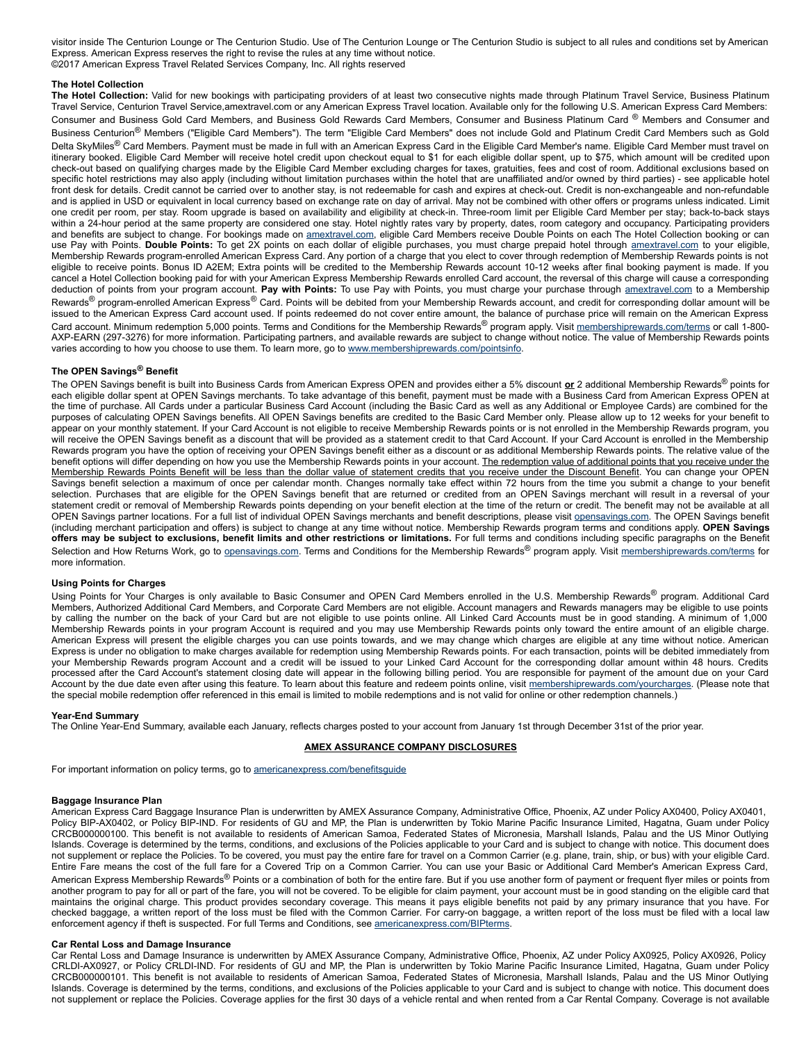visitor inside The Centurion Lounge or The Centurion Studio. Use of The Centurion Lounge or The Centurion Studio is subject to all rules and conditions set by American Express. American Express reserves the right to revise the rules at any time without notice. ©2017 American Express Travel Related Services Company, Inc. All rights reserved

# **The Hotel Collection**

**The Hotel Collection:** Valid for new bookings with participating providers of at least two consecutive nights made through Platinum Travel Service, Business Platinum Travel Service, Centurion Travel Service,amextravel.com or any American Express Travel location. Available only for the following U.S. American Express Card Members: Consumer and Business Gold Card Members, and Business Gold Rewards Card Members, Consumer and Business Platinum Card ® Members and Consumer and Business Centurion<sup>®</sup> Members ("Eligible Card Members"). The term "Eligible Card Members" does not include Gold and Platinum Credit Card Members such as Gold Delta SkyMiles<sup>®</sup> Card Members. Payment must be made in full with an American Express Card in the Eligible Card Member's name. Eligible Card Member must travel on itinerary booked. Eligible Card Member will receive hotel credit upon checkout equal to \$1 for each eligible dollar spent, up to \$75, which amount will be credited upon check-out based on qualifying charges made by the Eligible Card Member excluding charges for taxes, gratuities, fees and cost of room. Additional exclusions based on specific hotel restrictions may also apply (including without limitation purchases within the hotel that are unaffiliated and/or owned by third parties) - see applicable hotel front desk for details. Credit cannot be carried over to another stay, is not redeemable for cash and expires at check-out. Credit is non-exchangeable and non-refundable and is applied in USD or equivalent in local currency based on exchange rate on day of arrival. May not be combined with other offers or programs unless indicated. Limit one credit per room, per stay. Room upgrade is based on availability and eligibility at check-in. Three-room limit per Eligible Card Member per stay; back-to-back stays within a 24-hour period at the same property are considered one stay. Hotel nightly rates vary by property, dates, room category and occupancy. Participating providers and benefits are subject to change. For bookings made on [amextravel.com](https://www.amextravel.com/), eligible Card Members receive Double Points on each The Hotel Collection booking or can use Pay with Points. **Double Points:** To get 2X points on each dollar of eligible purchases, you must charge prepaid hotel through [amextravel.com](https://www.amextravel.com/) to your eligible, Membership Rewards programenrolled American Express Card. Any portion of a charge that you elect to cover through redemption of Membership Rewards points is not eligible to receive points. Bonus ID A2EM; Extra points will be credited to the Membership Rewards account 1012 weeks after final booking payment is made. If you cancel a Hotel Collection booking paid for with your American Express Membership Rewards enrolled Card account, the reversal of this charge will cause a corresponding deduction of points from your program account. **Pay with Points:** To use Pay with Points, you must charge your purchase through [amextravel.com](https://www.amextravel.com/) to a Membership Rewards<sup>®</sup> program-enrolled American Express<sup>®</sup> Card. Points will be debited from your Membership Rewards account, and credit for corresponding dollar amount will be issued to the American Express Card account used. If points redeemed do not cover entire amount, the balance of purchase price will remain on the American Express Card account. Minimum redemption 5,000 points. Terms and Conditions for the Membership Rewards<sup>®</sup> program apply. Visit [membershiprewards.com/terms](https://www.membershiprewards.com/terms) or call 1-800-AXP-EARN (297-3276) for more information. Participating partners, and available rewards are subject to change without notice. The value of Membership Rewards points varies according to how you choose to use them. To learn more, go to [www.membershiprewards.com/pointsinfo](https://www.membershiprewards.com/pointsinfo).

# **The OPEN Savings® Benefit**

The OPEN Savings benefit is built into Business Cards from American Express OPEN and provides either a 5% discount **or** 2 additional Membership Rewards® points for each eligible dollar spent at OPEN Savings merchants. To take advantage of this benefit, payment must be made with a Business Card from American Express OPEN at the time of purchase. All Cards under a particular Business Card Account (including the Basic Card as well as any Additional or Employee Cards) are combined for the purposes of calculating OPEN Savings benefits. All OPEN Savings benefits are credited to the Basic Card Member only. Please allow up to 12 weeks for your benefit to appear on your monthly statement. If your Card Account is not eligible to receive Membership Rewards points or is not enrolled in the Membership Rewards program, you will receive the OPEN Savings benefit as a discount that will be provided as a statement credit to that Card Account. If your Card Account is enrolled in the Membership Rewards program you have the option of receiving your OPEN Savings benefit either as a discount or as additional Membership Rewards points. The relative value of the benefit options will differ depending on how you use the Membership Rewards points in your account. The redemption value of additional points that you receive under the Membership Rewards Points Benefit will be less than the dollar value of statement credits that you receive under the Discount Benefit. You can change your OPEN Savings benefit selection a maximum of once per calendar month. Changes normally take effect within 72 hours from the time you submit a change to your benefit selection. Purchases that are eligible for the OPEN Savings benefit that are returned or credited from an OPEN Savings merchant will result in a reversal of your statement credit or removal of Membership Rewards points depending on your benefit election at the time of the return or credit. The benefit may not be available at all OPEN Savings partner locations. For a full list of individual OPEN Savings merchants and benefit descriptions, please visit [opensavings.com.](http://www.opensavings.com/) The OPEN Savings benefit (including merchant participation and offers) is subject to change at any time without notice. Membership Rewards program terms and conditions apply. **OPEN Savings** offers may be subject to exclusions, benefit limits and other restrictions or limitations. For full terms and conditions including specific paragraphs on the Benefit Selection and How Returns Work, go to [opensavings.com.](http://www.opensavings.com/) Terms and Conditions for the Membership Rewards® program apply. Visit [membershiprewards.com/terms](http://www.membershiprewards.com/terms) for more information.

#### **Using Points for Charges**

Using Points for Your Charges is only available to Basic Consumer and OPEN Card Members enrolled in the U.S. Membership Rewards® program. Additional Card Members, Authorized Additional Card Members, and Corporate Card Members are not eligible. Account managers and Rewards managers may be eligible to use points by calling the number on the back of your Card but are not eligible to use points online. All Linked Card Accounts must be in good standing. A minimum of 1,000 Membership Rewards points in your program Account is required and you may use Membership Rewards points only toward the entire amount of an eligible charge. American Express will present the eligible charges you can use points towards, and we may change which charges are eligible at any time without notice. American Express is under no obligation to make charges available for redemption using Membership Rewards points. For each transaction, points will be debited immediately from your Membership Rewards program Account and a credit will be issued to your Linked Card Account for the corresponding dollar amount within 48 hours. Credits processed after the Card Account's statement closing date will appear in the following billing period. You are responsible for payment of the amount due on your Card Account by the due date even after using this feature. To learn about this feature and redeem points online, visit [membershiprewards.com/yourcharges](http://membershiprewards.com/yourcharges). (Please note that the special mobile redemption offer referenced in this email is limited to mobile redemptions and is not valid for online or other redemption channels.)

## **Year-End Summary**

The Online Year-End Summary, available each January, reflects charges posted to your account from January 1st through December 31st of the prior year.

## **AMEX ASSURANCE COMPANY DISCLOSURES**

For important information on policy terms, go to [americanexpress.com/benefitsguide](http://www.americanexpress.com/benefitsguide)

## **Baggage Insurance Plan**

American Express Card Baggage Insurance Plan is underwritten by AMEX Assurance Company, Administrative Office, Phoenix, AZ under Policy AX0400, Policy AX0401, Policy BIP-AX0402, or Policy BIP-IND. For residents of GU and MP, the Plan is underwritten by Tokio Marine Pacific Insurance Limited, Hagatna, Guam under Policy CRCB000000100. This benefit is not available to residents of American Samoa, Federated States of Micronesia, Marshall Islands, Palau and the US Minor Outlying Islands. Coverage is determined by the terms, conditions, and exclusions of the Policies applicable to your Card and is subject to change with notice. This document does not supplement or replace the Policies. To be covered, you must pay the entire fare for travel on a Common Carrier (e.g. plane, train, ship, or bus) with your eligible Card. Entire Fare means the cost of the full fare for a Covered Trip on a Common Carrier. You can use your Basic or Additional Card Member's American Express Card, American Express Membership Rewards® Points or a combination of both for the entire fare. But if you use another form of payment or frequent flyer miles or points from another program to pay for all or part of the fare, you will not be covered. To be eligible for claim payment, your account must be in good standing on the eligible card that maintains the original charge. This product provides secondary coverage. This means it pays eligible benefits not paid by any primary insurance that you have. For checked baggage, a written report of the loss must be filed with the Common Carrier. For carryon baggage, a written report of the loss must be filed with a local law enforcement agency if theft is suspected. For full Terms and Conditions, see [americanexpress.com/BIPterms](http://www.americanexpress.com/BIPterms).

#### **Car Rental Loss and Damage Insurance**

Car Rental Loss and Damage Insurance is underwritten by AMEX Assurance Company, Administrative Office, Phoenix, AZ under Policy AX0925, Policy AX0926, Policy CRLDI-AX0927, or Policy CRLDI-IND. For residents of GU and MP, the Plan is underwritten by Tokio Marine Pacific Insurance Limited, Hagatna, Guam under Policy CRCB000000101. This benefit is not available to residents of American Samoa, Federated States of Micronesia, Marshall Islands, Palau and the US Minor Outlying Islands. Coverage is determined by the terms, conditions, and exclusions of the Policies applicable to your Card and is subject to change with notice. This document does not supplement or replace the Policies. Coverage applies for the first 30 days of a vehicle rental and when rented from a Car Rental Company. Coverage is not available